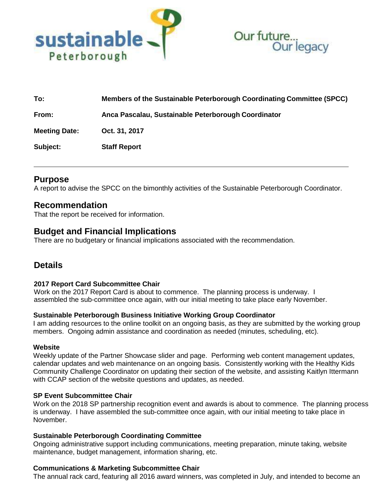



| To:                  | Members of the Sustainable Peterborough Coordinating Committee (SPCC) |
|----------------------|-----------------------------------------------------------------------|
| From:                | Anca Pascalau, Sustainable Peterborough Coordinator                   |
| <b>Meeting Date:</b> | Oct. 31, 2017                                                         |
| Subject:             | <b>Staff Report</b>                                                   |

# **Purpose**

A report to advise the SPCC on the bimonthly activities of the Sustainable Peterborough Coordinator.

## **Recommendation**

That the report be received for information.

# **Budget and Financial Implications**

There are no budgetary or financial implications associated with the recommendation.

# **Details**

## **2017 Report Card Subcommittee Chair**

Work on the 2017 Report Card is about to commence. The planning process is underway. I assembled the sub-committee once again, with our initial meeting to take place early November.

## **Sustainable Peterborough Business Initiative Working Group Coordinator**

I am adding resources to the online toolkit on an ongoing basis, as they are submitted by the working group members. Ongoing admin assistance and coordination as needed (minutes, scheduling, etc).

## **Website**

Weekly update of the Partner Showcase slider and page. Performing web content management updates, calendar updates and web maintenance on an ongoing basis. Consistently working with the Healthy Kids Community Challenge Coordinator on updating their section of the website, and assisting Kaitlyn Ittermann with CCAP section of the website questions and updates, as needed.

## **SP Event Subcommittee Chair**

Work on the 2018 SP partnership recognition event and awards is about to commence. The planning process is underway. I have assembled the sub-committee once again, with our initial meeting to take place in November.

## **Sustainable Peterborough Coordinating Committee**

Ongoing administrative support including communications, meeting preparation, minute taking, website maintenance, budget management, information sharing, etc.

## **Communications & Marketing Subcommittee Chair**

The annual rack card, featuring all 2016 award winners, was completed in July, and intended to become an